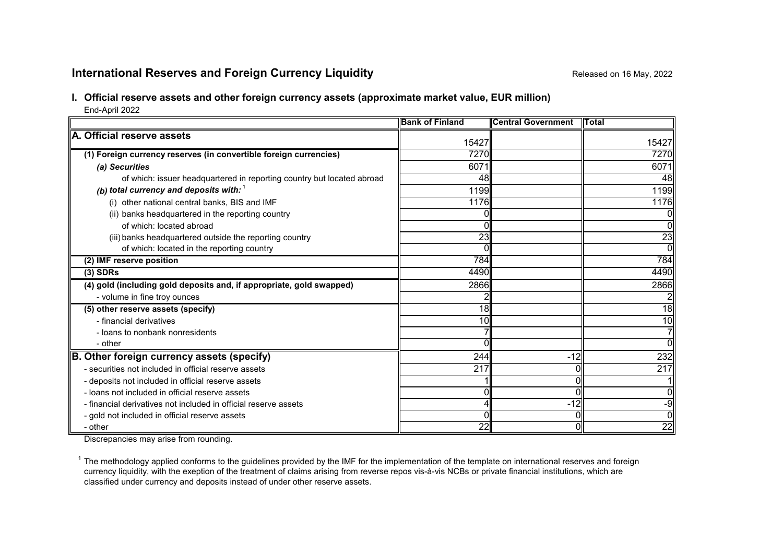# **International Reserves and Foreign Currency Liquidity Repared 16 May, 2022** Released on 16 May, 2022

## **I. Official reserve assets and other foreign currency assets (approximate market value, EUR million)**

End-April 2022

|                                                                        | <b>Bank of Finland</b> | <b>Central Government</b> | <b>ITotal</b>   |
|------------------------------------------------------------------------|------------------------|---------------------------|-----------------|
| A. Official reserve assets                                             | 15427                  |                           | 15427           |
|                                                                        | 7270                   |                           | 7270            |
| (1) Foreign currency reserves (in convertible foreign currencies)      |                        |                           |                 |
| (a) Securities                                                         | 6071                   |                           | 6071            |
| of which: issuer headquartered in reporting country but located abroad | 48                     |                           | 48              |
| (b) total currency and deposits with: $1$                              | 1199                   |                           | 1199            |
| (i) other national central banks, BIS and IMF                          | 1176                   |                           | 1176            |
| (ii) banks headquartered in the reporting country                      |                        |                           | 0               |
| of which: located abroad                                               | N                      |                           | 0               |
| (iii) banks headquartered outside the reporting country                | $\overline{23}$        |                           | $\overline{23}$ |
| of which: located in the reporting country                             |                        |                           | $\overline{0}$  |
| (2) IMF reserve position                                               | 784                    |                           | 784             |
| $(3)$ SDRs                                                             | 4490                   |                           | 4490            |
| (4) gold (including gold deposits and, if appropriate, gold swapped)   | 2866                   |                           | 2866            |
| - volume in fine troy ounces                                           |                        |                           |                 |
| (5) other reserve assets (specify)                                     | 18                     |                           | 18              |
| - financial derivatives                                                | 10                     |                           | 10              |
| - loans to nonbank nonresidents                                        |                        |                           | 7               |
| - other                                                                |                        |                           | 0               |
| B. Other foreign currency assets (specify)                             | 244                    | $-12$                     | 232             |
| - securities not included in official reserve assets                   | 217                    |                           | 217             |
| - deposits not included in official reserve assets                     |                        |                           |                 |
| - loans not included in official reserve assets                        |                        |                           | 0               |
| - financial derivatives not included in official reserve assets        | 4                      | $-12$                     | $-9$            |
| - gold not included in official reserve assets                         |                        |                           | $\overline{0}$  |
| - other                                                                | 22                     |                           | 22              |

Discrepancies may arise from rounding.

 $1$  The methodology applied conforms to the guidelines provided by the IMF for the implementation of the template on international reserves and foreign currency liquidity, with the exeption of the treatment of claims arising from reverse repos vis-à-vis NCBs or private financial institutions, which are classified under currency and deposits instead of under other reserve assets.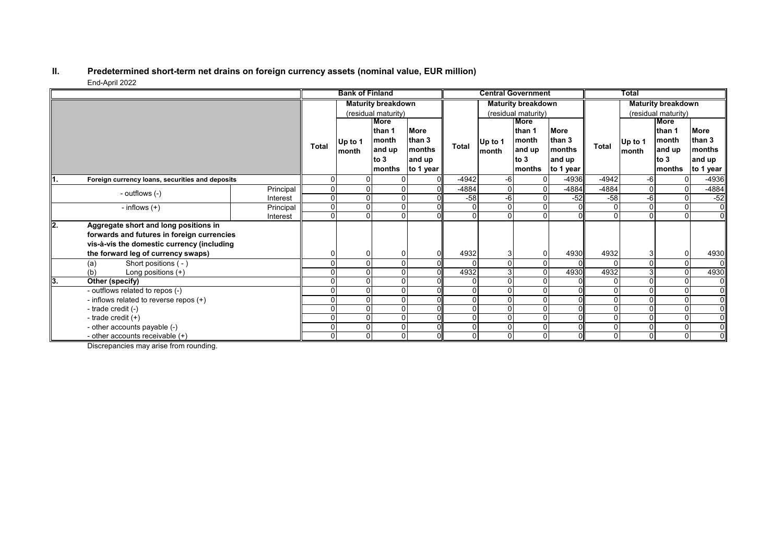#### **II. Predetermined short-term net drains on foreign currency assets (nominal value, EUR million)** End-April 2022

|      |                                                 |                           |                     | <b>Bank of Finland</b> |          |                           |         |                 | <b>Central Government</b> |                     |              | <b>Total</b>   |              |                |
|------|-------------------------------------------------|---------------------------|---------------------|------------------------|----------|---------------------------|---------|-----------------|---------------------------|---------------------|--------------|----------------|--------------|----------------|
|      |                                                 | <b>Maturity breakdown</b> |                     |                        |          | <b>Maturity breakdown</b> |         |                 | <b>Maturity breakdown</b> |                     |              |                |              |                |
|      |                                                 |                           | (residual maturity) |                        |          | (residual maturity)       |         |                 |                           | (residual maturity) |              |                |              |                |
|      |                                                 |                           | More                |                        |          |                           |         | <b>More</b>     |                           |                     |              | More           |              |                |
|      |                                                 |                           | <b>Total</b>        |                        | lthan 1  | <b>More</b>               |         |                 | than 1                    | <b>More</b>         |              |                | than 1       | <b>More</b>    |
|      |                                                 | Up to 1                   |                     | month                  | than 3   |                           | Up to 1 | month<br>and up | than 3<br>months          |                     | Up to 1      | month          | than 3       |                |
|      |                                                 |                           |                     | month                  | and up   | <b>months</b>             | Total   |                 |                           | month               | <b>Total</b> | month          | and up       | months         |
|      |                                                 |                           |                     |                        | to $3$   | and up                    |         |                 | to $3$                    | and up              |              |                | to $3$       | and up         |
|      |                                                 |                           |                     |                        | months   | to 1 year                 |         |                 | months                    | to 1 year           |              |                | months       | to 1 year      |
| ll1. | Foreign currency loans, securities and deposits |                           | ŋ                   |                        |          | $\Omega$                  | $-4942$ | -6              |                           | $-4936$             | $-4942$      | -6             | 0            | $-4936$        |
|      | - outflows (-)                                  | Principal                 | 0                   |                        |          |                           | -4884   |                 |                           | $-4884$             | -4884        | 0              |              | -4884          |
|      |                                                 | Interest                  | 0                   |                        |          |                           | $-58$   | -6              |                           | $-52$               | $-58$        | -6             |              | $-52$          |
|      | - inflows $(+)$                                 | Principal                 | $\Omega$            |                        |          |                           |         |                 |                           |                     |              | 0              | $\Omega$     | $\overline{0}$ |
|      |                                                 | Interest                  | 0                   |                        |          |                           | U       |                 |                           |                     | $\Omega$     |                | $\Omega$     | $\overline{0}$ |
| l2.  | Aggregate short and long positions in           |                           |                     |                        |          |                           |         |                 |                           |                     |              |                |              |                |
|      | forwards and futures in foreign currencies      |                           |                     |                        |          |                           |         |                 |                           |                     |              |                |              |                |
|      | vis-à-vis the domestic currency (including      |                           |                     |                        |          |                           |         |                 |                           |                     |              |                |              |                |
|      | the forward leg of currency swaps)              |                           |                     |                        |          |                           | 4932    |                 |                           | 4930                | 4932         | 3              |              | 4930           |
|      | Short positions (-)<br>(a)                      |                           |                     |                        |          | ΩI                        |         |                 |                           |                     |              | $\Omega$       | $\mathbf{0}$ | 01             |
|      | Long positions $(+)$<br>(b)                     |                           |                     |                        |          |                           | 4932    |                 |                           | 4930                | 4932         | 3              | $\Omega$     | 4930           |
| 13.  | Other (specify)                                 |                           |                     |                        |          |                           |         |                 |                           |                     |              |                |              | $\overline{0}$ |
|      | - outflows related to repos (-)                 |                           |                     |                        |          |                           |         |                 |                           |                     |              |                | $\Omega$     | $\overline{0}$ |
|      | - inflows related to reverse repos (+)          |                           |                     |                        |          |                           |         |                 |                           |                     |              |                |              | $\overline{0}$ |
|      | - trade credit (-)                              |                           |                     |                        |          |                           |         |                 |                           |                     |              | 0              |              | $\overline{0}$ |
|      | - trade credit $(+)$                            |                           |                     |                        |          | ΩI                        |         |                 |                           |                     | $\Omega$     | 0              | $\Omega$     | $\overline{0}$ |
|      | - other accounts payable (-)                    |                           |                     |                        |          |                           |         |                 |                           |                     | $\mathbf{0}$ | $\Omega$       | $\Omega$     | $\overline{0}$ |
|      | - other accounts receivable $(+)$               |                           | 0                   |                        | $\Omega$ |                           | 0       | $\Omega$        |                           |                     | 0            | $\overline{0}$ | $\Omega$     | $\overline{0}$ |

Discrepancies may arise from rounding.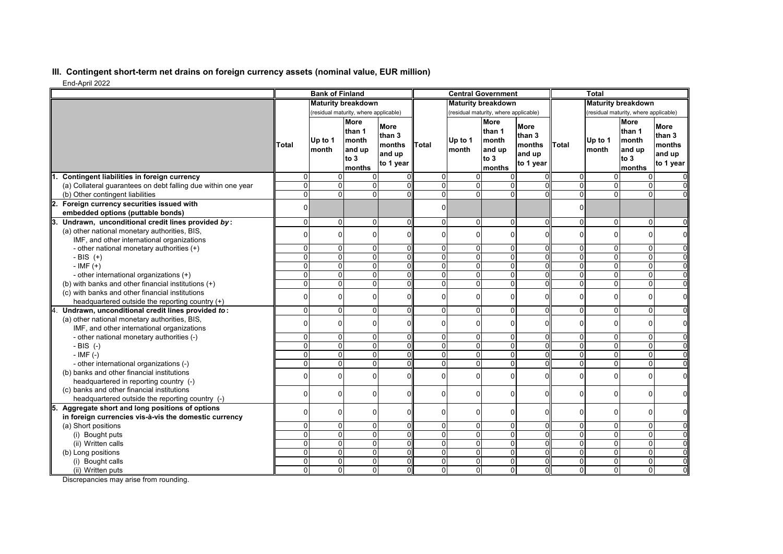## **III. Contingent short-term net drains on foreign currency assets (nominal value, EUR million)**

End-April 2022

| LIN TYPIN LULL                                                                        |                           | <b>Bank of Finland</b>                |                                                              |                                                 |                                  |                     | <b>Central Government</b>                                  |                                                 |                     | <b>Total</b>                          |                                                                    |                                                        |
|---------------------------------------------------------------------------------------|---------------------------|---------------------------------------|--------------------------------------------------------------|-------------------------------------------------|----------------------------------|---------------------|------------------------------------------------------------|-------------------------------------------------|---------------------|---------------------------------------|--------------------------------------------------------------------|--------------------------------------------------------|
|                                                                                       | <b>Maturity breakdown</b> |                                       |                                                              | <b>Maturity breakdown</b>                       |                                  |                     | <b>Maturity breakdown</b>                                  |                                                 |                     |                                       |                                                                    |                                                        |
|                                                                                       |                           | (residual maturity, where applicable) |                                                              |                                                 |                                  |                     | (residual maturity, where applicable)                      |                                                 |                     | (residual maturity, where applicable) |                                                                    |                                                        |
|                                                                                       | Total                     | Up to 1<br>Imonth                     | <b>More</b><br>than 1<br>month<br>and up<br>to $3$<br>months | More<br>than 3<br>months<br>and up<br>to 1 year | Total                            | Up to 1<br>month    | <b>More</b><br>than 1<br>month<br>and up<br>to 3<br>months | More<br>than 3<br>months<br>and up<br>to 1 year | <b>Total</b>        | Up to 1<br>Imonth                     | <b>More</b><br>than 1<br><b>Imonth</b><br>and up<br>to 3<br>months | <b>More</b><br>than 3<br>months<br>and up<br>to 1 year |
| Contingent liabilities in foreign currency                                            | $\Omega$                  |                                       |                                                              |                                                 | $\Omega$                         | $\Omega$            |                                                            |                                                 | 0                   | $\Omega$                              | 0                                                                  |                                                        |
| (a) Collateral guarantees on debt falling due within one year                         | $\Omega$                  | $\Omega$                              | $\Omega$                                                     | ΩI                                              | $\Omega$                         | $\Omega$            | 0                                                          |                                                 | $\Omega$            | $\overline{0}$                        | 0                                                                  |                                                        |
| (b) Other contingent liabilities                                                      | $\overline{0}$            | $\overline{0}$                        | $\overline{0}$                                               |                                                 | $\overline{0}$                   | $\Omega$            | 0                                                          |                                                 | $\overline{0}$      | $\overline{0}$                        | $\overline{0}$                                                     |                                                        |
| 2.<br>Foreign currency securities issued with                                         | $\Omega$                  |                                       |                                                              |                                                 | $\Omega$                         |                     |                                                            |                                                 | $\Omega$            |                                       |                                                                    |                                                        |
| embedded options (puttable bonds)                                                     |                           |                                       |                                                              |                                                 |                                  |                     |                                                            |                                                 |                     |                                       |                                                                    |                                                        |
| Undrawn, unconditional credit lines provided by:                                      | $\Omega$                  | $\Omega$                              | $\Omega$                                                     | $\Omega$                                        | $\Omega$                         | $\mathbf{0}$        | $\Omega$                                                   | $\Omega$                                        | $\Omega$            | 0                                     | 0                                                                  | $\Omega$                                               |
| (a) other national monetary authorities, BIS,                                         | $\Omega$                  | $\Omega$                              | $\Omega$                                                     | $\Omega$                                        | $\Omega$                         | $\Omega$            | 0                                                          | $\Omega$                                        | $\overline{0}$      | 0                                     | 0                                                                  | $\Omega$                                               |
| IMF, and other international organizations                                            |                           |                                       |                                                              |                                                 |                                  |                     |                                                            |                                                 |                     |                                       |                                                                    |                                                        |
| - other national monetary authorities (+)                                             | $\Omega$                  | $\Omega$                              | $\Omega$                                                     | $\overline{0}$                                  | $\mathbf 0$                      | 0                   | 0                                                          | $\Omega$                                        | 0                   | $\overline{0}$                        | 0                                                                  | $\Omega$                                               |
| - BIS $(+)$                                                                           | $\Omega$                  | $\overline{0}$                        | $\Omega$                                                     | $\Omega$                                        | $\overline{0}$                   | $\overline{0}$      | $\mathbf 0$                                                | $\Omega$                                        | $\overline{0}$      | $\overline{0}$                        | $\overline{\mathsf{o}}$                                            | $\Omega$                                               |
| $-IMF (+)$                                                                            | $\Omega$                  | $\Omega$                              | $\Omega$                                                     | $\Omega$                                        | $\Omega$                         | $\Omega$            | $\Omega$                                                   | U                                               | $\mathbf{0}$        | $\overline{0}$                        | 0                                                                  | $\Omega$                                               |
| - other international organizations (+)                                               | $\Omega$                  | $\Omega$                              | $\Omega$                                                     | $\Omega$                                        | $\Omega$                         | $\Omega$            | $\Omega$                                                   | $\Omega$                                        | $\Omega$            | $\overline{0}$                        | 0                                                                  | $\Omega$                                               |
| (b) with banks and other financial institutions (+)                                   | $\Omega$                  | $\Omega$                              | $\Omega$                                                     | $\Omega$                                        | $\overline{0}$                   | $\overline{0}$      | $\mathbf 0$                                                | $\overline{0}$                                  | $\overline{0}$      | $\overline{0}$                        | 0                                                                  | $\Omega$                                               |
| (c) with banks and other financial institutions                                       | $\Omega$                  | $\Omega$                              | $\Omega$                                                     | $\Omega$                                        | $\Omega$                         | $\Omega$            | O                                                          | $\Omega$                                        | $\Omega$            | 0                                     | $\mathbf 0$                                                        | $\mathbf 0$                                            |
| headquartered outside the reporting country (+)                                       |                           |                                       |                                                              |                                                 |                                  |                     |                                                            |                                                 |                     |                                       |                                                                    |                                                        |
| Undrawn, unconditional credit lines provided to:                                      | $\Omega$                  | $\Omega$                              | $\Omega$                                                     | $\Omega$                                        | $\Omega$                         | $\Omega$            | $\Omega$                                                   | $\Omega$                                        | $\overline{0}$      | $\overline{0}$                        | $\mathbf 0$                                                        | $\Omega$                                               |
| (a) other national monetary authorities, BIS,                                         | $\Omega$                  | $\Omega$                              | $\Omega$                                                     | $\Omega$                                        | $\Omega$                         | $\Omega$            | 0                                                          | $\Omega$                                        | $\Omega$            | 0                                     | $\mathbf 0$                                                        | $\Omega$                                               |
| IMF, and other international organizations                                            |                           |                                       |                                                              |                                                 |                                  |                     |                                                            |                                                 |                     |                                       |                                                                    |                                                        |
| - other national monetary authorities (-)                                             | $\Omega$<br>$\Omega$      | $\Omega$<br>$\Omega$                  | $\Omega$<br>$\Omega$                                         | $\overline{0}$<br>$\Omega$                      | $\overline{0}$<br>$\overline{0}$ | 0<br>$\overline{0}$ | 0<br>$\mathbf 0$                                           | 0                                               | 0<br>$\overline{0}$ | 0<br>$\overline{0}$                   | $\mathbf 0$<br>$\overline{0}$                                      | $\mathbf 0$                                            |
| $-BIS$ (-)                                                                            | $\Omega$                  | $\Omega$                              | $\Omega$                                                     | ΩI                                              | $\Omega$                         | $\Omega$            |                                                            | $\overline{0}$                                  | $\Omega$            | $\overline{0}$                        |                                                                    | $\overline{0}$                                         |
| $-$ IMF $(-)$                                                                         | $\Omega$                  | $\Omega$                              | $\Omega$                                                     | $\Omega$                                        | $\overline{0}$                   | $\overline{0}$      | 0<br>0                                                     | 0                                               | $\overline{0}$      | $\overline{0}$                        | 0<br>$\overline{0}$                                                | $\mathbf 0$                                            |
| - other international organizations (-)<br>(b) banks and other financial institutions |                           |                                       |                                                              |                                                 |                                  |                     |                                                            |                                                 |                     |                                       |                                                                    |                                                        |
| headquartered in reporting country (-)                                                | $\Omega$                  | $\Omega$                              | $\Omega$                                                     | $\Omega$                                        | $\Omega$                         | $\Omega$            | 0                                                          | $\Omega$                                        | $\Omega$            | 0                                     | $\Omega$                                                           | $\Omega$                                               |
| (c) banks and other financial institutions                                            |                           |                                       |                                                              |                                                 |                                  |                     |                                                            |                                                 |                     |                                       |                                                                    |                                                        |
| headquartered outside the reporting country (-)                                       | $\Omega$                  | $\Omega$                              | 0                                                            | $\Omega$                                        | $\Omega$                         | $\Omega$            | 0                                                          | $\Omega$                                        | $\Omega$            | $\Omega$                              | 0                                                                  | $\mathbf 0$                                            |
| Aggregate short and long positions of options                                         |                           |                                       |                                                              |                                                 |                                  |                     |                                                            |                                                 |                     |                                       |                                                                    |                                                        |
| in foreign currencies vis-à-vis the domestic currency                                 | $\Omega$                  | $\Omega$                              | $\Omega$                                                     | $\Omega$                                        | $\Omega$                         | $\overline{0}$      | 0                                                          | $\Omega$                                        | $\overline{0}$      | 0                                     | 0                                                                  | $\mathbf 0$                                            |
| (a) Short positions                                                                   | $\Omega$                  | $\Omega$                              | $\Omega$                                                     | $\Omega$                                        | $\Omega$                         | $\overline{0}$      | 0                                                          | U                                               | $\Omega$            | $\overline{0}$                        | 0                                                                  | $\Omega$                                               |
| (i) Bought puts                                                                       | $\Omega$                  | $\Omega$                              | $\Omega$                                                     | $\Omega$                                        | $\Omega$                         | $\overline{0}$      | $\mathbf 0$                                                | $\Omega$                                        | $\overline{0}$      | $\overline{0}$                        | 0                                                                  | $\Omega$                                               |
| (ii) Written calls                                                                    | $\Omega$                  | $\Omega$                              | $\Omega$                                                     | 0l                                              | $\Omega$                         | 0                   | $\Omega$                                                   | 0                                               | $\Omega$            | $\overline{0}$                        | $\mathbf 0$                                                        | $\overline{0}$                                         |
| (b) Long positions                                                                    | $\Omega$                  | $\Omega$                              | $\Omega$                                                     | ΩI                                              | $\overline{0}$                   | $\overline{0}$      | $\mathbf 0$                                                | $\Omega$                                        | $\overline{0}$      | $\overline{0}$                        | 0                                                                  | $\Omega$                                               |
| (i) Bought calls                                                                      | $\Omega$                  | $\Omega$                              | $\Omega$                                                     | $\Omega$                                        | $\overline{0}$                   | $\overline{0}$      | 0                                                          | $\Omega$                                        | $\overline{0}$      | $\overline{0}$                        | 0                                                                  | $\Omega$                                               |
| (ii) Written puts                                                                     | $\Omega$                  | $\Omega$                              | $\Omega$                                                     | $\mathbf 0$                                     | $\overline{0}$                   | $\mathsf{o}$        | $\overline{0}$                                             | 0                                               | $\Omega$            | $\overline{0}$                        | $\mathbf{0}$                                                       | $\Omega$                                               |

Discrepancies may arise from rounding.